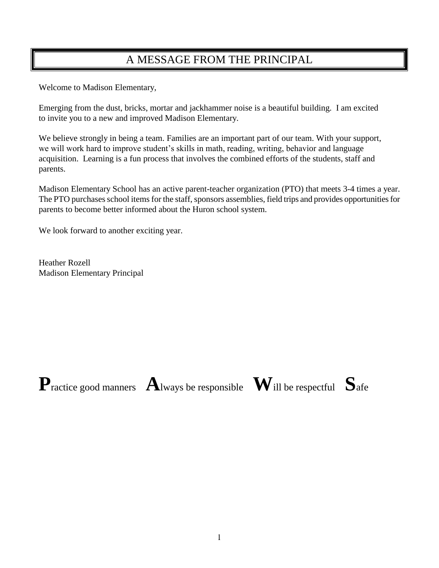## A MESSAGE FROM THE PRINCIPAL

Welcome to Madison Elementary,

Emerging from the dust, bricks, mortar and jackhammer noise is a beautiful building. I am excited to invite you to a new and improved Madison Elementary.

We believe strongly in being a team. Families are an important part of our team. With your support, we will work hard to improve student's skills in math, reading, writing, behavior and language acquisition. Learning is a fun process that involves the combined efforts of the students, staff and parents.

Madison Elementary School has an active parent-teacher organization (PTO) that meets 3-4 times a year. The PTO purchases school items for the staff, sponsors assemblies, field trips and provides opportunities for parents to become better informed about the Huron school system.

We look forward to another exciting year.

Heather Rozell Madison Elementary Principal

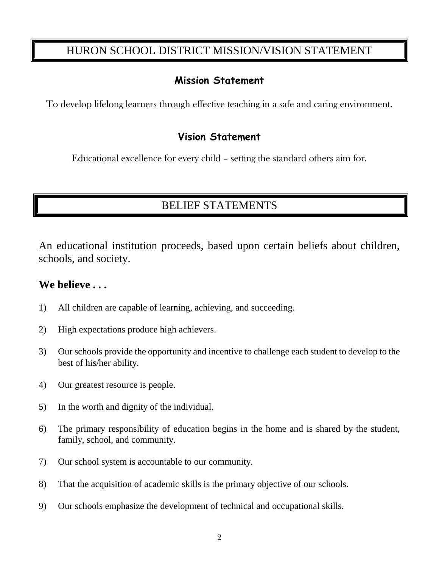## HURON SCHOOL DISTRICT MISSION/VISION STATEMENT

### **Mission Statement**

To develop lifelong learners through effective teaching in a safe and caring environment.

### **Vision Statement**

Educational excellence for every child – setting the standard others aim for.

## BELIEF STATEMENTS

An educational institution proceeds, based upon certain beliefs about children, schools, and society.

### **We believe . . .**

- 1) All children are capable of learning, achieving, and succeeding.
- 2) High expectations produce high achievers.
- 3) Our schools provide the opportunity and incentive to challenge each student to develop to the best of his/her ability.
- 4) Our greatest resource is people.
- 5) In the worth and dignity of the individual.
- 6) The primary responsibility of education begins in the home and is shared by the student, family, school, and community.
- 7) Our school system is accountable to our community.
- 8) That the acquisition of academic skills is the primary objective of our schools.
- 9) Our schools emphasize the development of technical and occupational skills.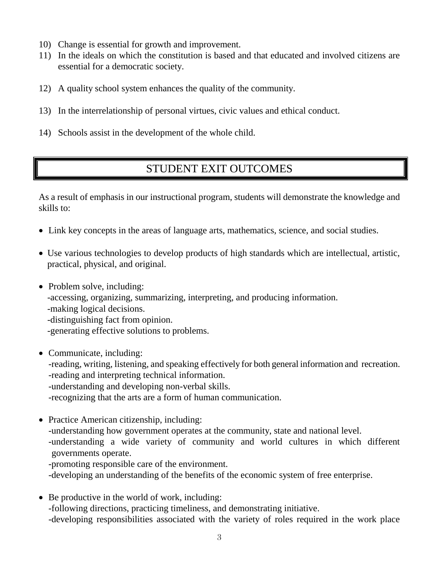- 10) Change is essential for growth and improvement.
- 11) In the ideals on which the constitution is based and that educated and involved citizens are essential for a democratic society.
- 12) A quality school system enhances the quality of the community.
- 13) In the interrelationship of personal virtues, civic values and ethical conduct.
- 14) Schools assist in the development of the whole child.

## STUDENT EXIT OUTCOMES

As a result of emphasis in our instructional program, students will demonstrate the knowledge and skills to:

- Link key concepts in the areas of language arts, mathematics, science, and social studies.
- Use various technologies to develop products of high standards which are intellectual, artistic, practical, physical, and original.
- Problem solve, including: -accessing, organizing, summarizing, interpreting, and producing information. -making logical decisions. -distinguishing fact from opinion. -generating effective solutions to problems.
- Communicate, including: -reading, writing, listening, and speaking effectively for both general information and recreation. -reading and interpreting technical information. -understanding and developing non-verbal skills. -recognizing that the arts are a form of human communication.
- Practice American citizenship, including: -understanding how government operates at the community, state and national level. -understanding a wide variety of community and world cultures in which different governments operate. -promoting responsible care of the environment.
	- -developing an understanding of the benefits of the economic system of free enterprise.
- Be productive in the world of work, including: -following directions, practicing timeliness, and demonstrating initiative. -developing responsibilities associated with the variety of roles required in the work place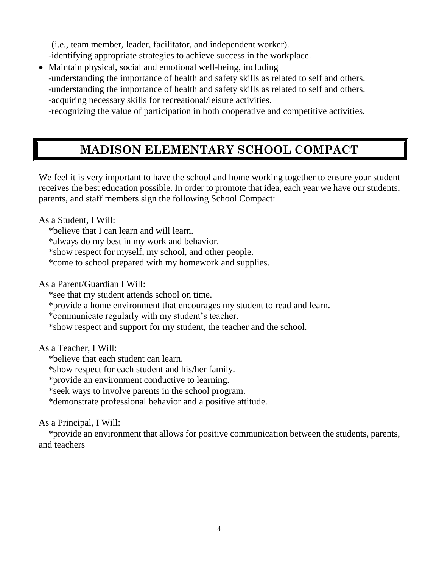(i.e., team member, leader, facilitator, and independent worker).

-identifying appropriate strategies to achieve success in the workplace.

- Maintain physical, social and emotional well-being, including -understanding the importance of health and safety skills as related to self and others. -understanding the importance of health and safety skills as related to self and others. -acquiring necessary skills for recreational/leisure activities.
	- -recognizing the value of participation in both cooperative and competitive activities.

## **MADISON ELEMENTARY SCHOOL COMPACT**

We feel it is very important to have the school and home working together to ensure your student receives the best education possible. In order to promote that idea, each year we have our students, parents, and staff members sign the following School Compact:

As a Student, I Will:

\*believe that I can learn and will learn.

\*always do my best in my work and behavior.

\*show respect for myself, my school, and other people.

\*come to school prepared with my homework and supplies.

As a Parent/Guardian I Will:

\*see that my student attends school on time.

\*provide a home environment that encourages my student to read and learn.

\*communicate regularly with my student's teacher.

\*show respect and support for my student, the teacher and the school.

As a Teacher, I Will:

\*believe that each student can learn.

\*show respect for each student and his/her family.

\*provide an environment conductive to learning.

\*seek ways to involve parents in the school program.

\*demonstrate professional behavior and a positive attitude.

As a Principal, I Will:

\*provide an environment that allows for positive communication between the students, parents, and teachers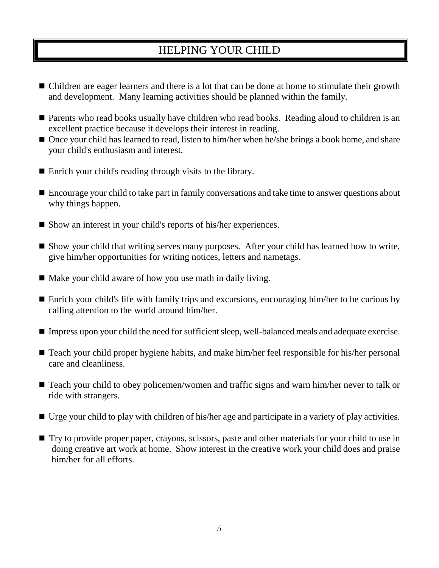## HELPING YOUR CHILD

- Children are eager learners and there is a lot that can be done at home to stimulate their growth and development. Many learning activities should be planned within the family.
- Parents who read books usually have children who read books. Reading aloud to children is an excellent practice because it develops their interest in reading.
- Once your child has learned to read, listen to him/her when he/she brings a book home, and share your child's enthusiasm and interest.
- Enrich your child's reading through visits to the library.
- Encourage your child to take part in family conversations and take time to answer questions about why things happen.
- Show an interest in your child's reports of his/her experiences.
- Show your child that writing serves many purposes. After your child has learned how to write, give him/her opportunities for writing notices, letters and nametags.
- Make your child aware of how you use math in daily living.
- Enrich your child's life with family trips and excursions, encouraging him/her to be curious by calling attention to the world around him/her.
- Impress upon your child the need for sufficient sleep, well-balanced meals and adequate exercise.
- Teach your child proper hygiene habits, and make him/her feel responsible for his/her personal care and cleanliness.
- Teach your child to obey policemen/women and traffic signs and warn him/her never to talk or ride with strangers.
- Urge your child to play with children of his/her age and participate in a variety of play activities.
- Try to provide proper paper, crayons, scissors, paste and other materials for your child to use in doing creative art work at home. Show interest in the creative work your child does and praise him/her for all efforts.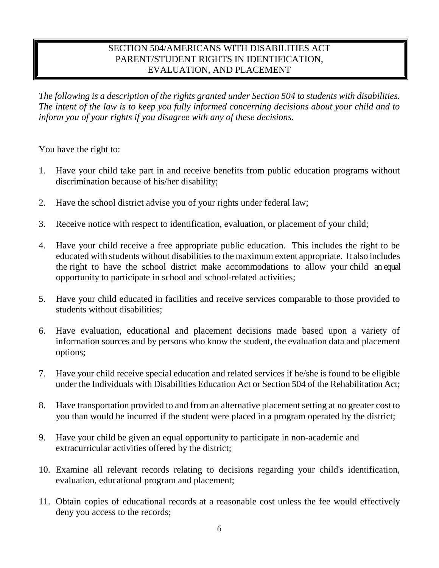#### SECTION 504/AMERICANS WITH DISABILITIES ACT PARENT/STUDENT RIGHTS IN IDENTIFICATION, EVALUATION, AND PLACEMENT

*The following is a description of the rights granted under Section 504 to students with disabilities. The intent of the law is to keep you fully informed concerning decisions about your child and to inform you of your rights if you disagree with any of these decisions.*

You have the right to:

- 1. Have your child take part in and receive benefits from public education programs without discrimination because of his/her disability;
- 2. Have the school district advise you of your rights under federal law;
- 3. Receive notice with respect to identification, evaluation, or placement of your child;
- 4. Have your child receive a free appropriate public education. This includes the right to be educated with students without disabilities to the maximum extent appropriate. It also includes the right to have the school district make accommodations to allow your child an equal opportunity to participate in school and school-related activities;
- 5. Have your child educated in facilities and receive services comparable to those provided to students without disabilities;
- 6. Have evaluation, educational and placement decisions made based upon a variety of information sources and by persons who know the student, the evaluation data and placement options;
- 7. Have your child receive special education and related services if he/she is found to be eligible under the Individuals with Disabilities Education Act or Section 504 of the Rehabilitation Act;
- 8. Have transportation provided to and from an alternative placement setting at no greater cost to you than would be incurred if the student were placed in a program operated by the district;
- 9. Have your child be given an equal opportunity to participate in non-academic and extracurricular activities offered by the district;
- 10. Examine all relevant records relating to decisions regarding your child's identification, evaluation, educational program and placement;
- 11. Obtain copies of educational records at a reasonable cost unless the fee would effectively deny you access to the records;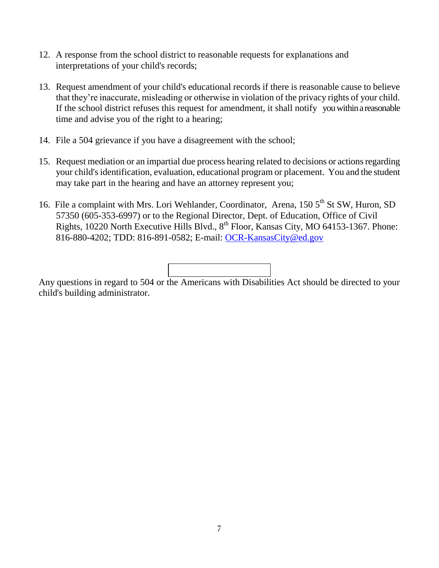- 12. A response from the school district to reasonable requests for explanations and interpretations of your child's records;
- 13. Request amendment of your child's educational records if there is reasonable cause to believe that they're inaccurate, misleading or otherwise in violation of the privacy rights of your child. If the school district refuses this request for amendment, it shall notify you within a reasonable time and advise you of the right to a hearing;
- 14. File a 504 grievance if you have a disagreement with the school;
- 15. Request mediation or an impartial due process hearing related to decisions or actions regarding your child's identification, evaluation, educational program or placement. You and the student may take part in the hearing and have an attorney represent you;
- 16. File a complaint with Mrs. Lori Wehlander, Coordinator, Arena, 150 5<sup>th</sup> St SW, Huron, SD 57350 (605-353-6997) or to the Regional Director, Dept. of Education, Office of Civil Rights, 10220 North Executive Hills Blvd.,  $8^{th}$  Floor, Kansas City, MO 64153-1367. Phone: 816-880-4202; TDD: 816-891-0582; E-mail: [OCR-KansasCity@ed.gov](mailto:OCR-KansasCity@ed.gov)



Any questions in regard to 504 or the Americans with Disabilities Act should be directed to your child's building administrator.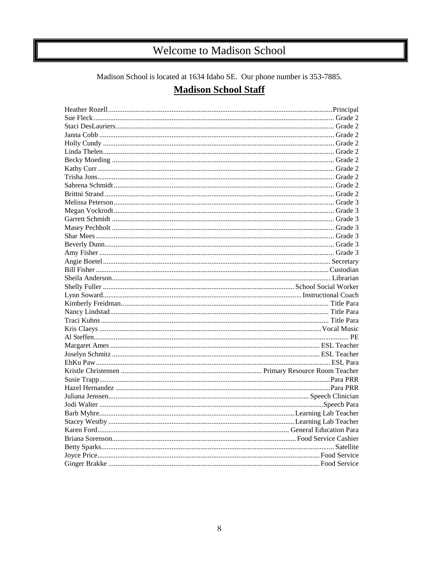# Welcome to Madison School

Madison School is located at 1634 Idaho SE. Our phone number is 353-7885.

### **Madison School Staff**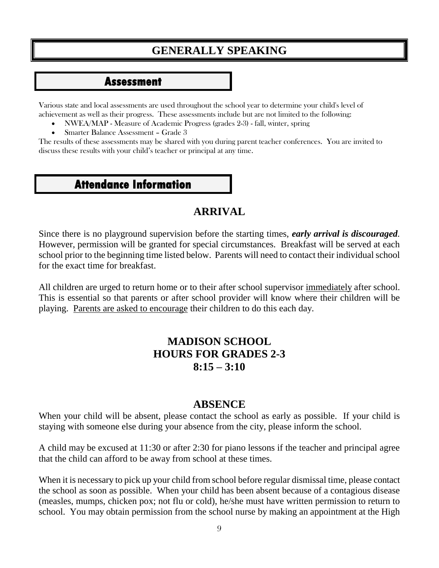## **GENERALLY SPEAKING**

### **Assessment**

Various state and local assessments are used throughout the school year to determine your child's level of achievement as well as their progress. These assessments include but are not limited to the following:

- NWEA/MAP Measure of Academic Progress (grades 2-3) fall, winter, spring
- Smarter Balance Assessment Grade 3

The results of these assessments may be shared with you during parent teacher conferences. You are invited to discuss these results with your child's teacher or principal at any time.

### **Attendance Information**

### **ARRIVAL**

Since there is no playground supervision before the starting times, *early arrival is discouraged.* However, permission will be granted for special circumstances. Breakfast will be served at each school prior to the beginning time listed below. Parents will need to contact their individual school for the exact time for breakfast.

All children are urged to return home or to their after school supervisor immediately after school. This is essential so that parents or after school provider will know where their children will be playing. Parents are asked to encourage their children to do this each day.

### **MADISON SCHOOL HOURS FOR GRADES 2-3 8:15 – 3:10**

### **ABSENCE**

When your child will be absent, please contact the school as early as possible. If your child is staying with someone else during your absence from the city, please inform the school.

A child may be excused at 11:30 or after 2:30 for piano lessons if the teacher and principal agree that the child can afford to be away from school at these times.

When it is necessary to pick up your child from school before regular dismissal time, please contact the school as soon as possible. When your child has been absent because of a contagious disease (measles, mumps, chicken pox; not flu or cold), he/she must have written permission to return to school. You may obtain permission from the school nurse by making an appointment at the High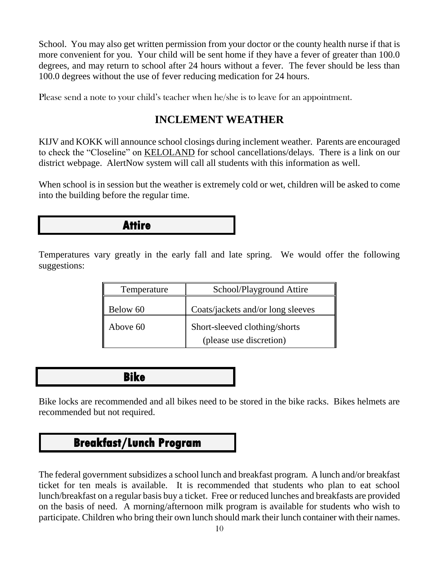School. You may also get written permission from your doctor or the county health nurse if that is more convenient for you. Your child will be sent home if they have a fever of greater than 100.0 degrees, and may return to school after 24 hours without a fever. The fever should be less than 100.0 degrees without the use of fever reducing medication for 24 hours.

Please send a note to your child's teacher when he/she is to leave for an appointment.

### **INCLEMENT WEATHER**

KIJV and KOKK will announce school closings during inclement weather. Parents are encouraged to check the "Closeline" on KELOLAND for school cancellations/delays. There is a link on our district webpage. AlertNow system will call all students with this information as well.

When school is in session but the weather is extremely cold or wet, children will be asked to come into the building before the regular time.

### **Attire**

Temperatures vary greatly in the early fall and late spring. We would offer the following suggestions:

| Temperature | School/Playground Attire          |
|-------------|-----------------------------------|
| Below 60    | Coats/jackets and/or long sleeves |
| Above 60    | Short-sleeved clothing/shorts     |
|             | (please use discretion)           |

 **Bike** 

Bike locks are recommended and all bikes need to be stored in the bike racks. Bikes helmets are recommended but not required.

## **Breakfast/Lunch Program**

The federal government subsidizes a school lunch and breakfast program. A lunch and/or breakfast ticket for ten meals is available. It is recommended that students who plan to eat school lunch/breakfast on a regular basis buy a ticket. Free or reduced lunches and breakfasts are provided on the basis of need. A morning/afternoon milk program is available for students who wish to participate. Children who bring their own lunch should mark their lunch container with their names.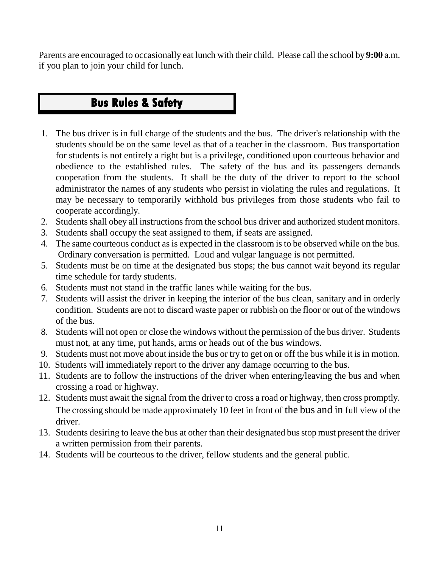Parents are encouraged to occasionally eat lunch with their child. Please call the school by **9:00** a.m. if you plan to join your child for lunch.

# **Care Bus Rules & Safety**

- 1. The bus driver is in full charge of the students and the bus. The driver's relationship with the students should be on the same level as that of a teacher in the classroom. Bus transportation for students is not entirely a right but is a privilege, conditioned upon courteous behavior and obedience to the established rules. The safety of the bus and its passengers demands cooperation from the students. It shall be the duty of the driver to report to the school administrator the names of any students who persist in violating the rules and regulations. It may be necessary to temporarily withhold bus privileges from those students who fail to cooperate accordingly.
- 2. Students shall obey all instructions from the school bus driver and authorized student monitors.
- 3. Students shall occupy the seat assigned to them, if seats are assigned.
- 4. The same courteous conduct as is expected in the classroom is to be observed while on the bus. Ordinary conversation is permitted. Loud and vulgar language is not permitted.
- 5. Students must be on time at the designated bus stops; the bus cannot wait beyond its regular time schedule for tardy students.
- 6. Students must not stand in the traffic lanes while waiting for the bus.
- 7. Students will assist the driver in keeping the interior of the bus clean, sanitary and in orderly condition. Students are not to discard waste paper or rubbish on the floor or out of the windows of the bus.
- 8. Students will not open or close the windows without the permission of the bus driver. Students must not, at any time, put hands, arms or heads out of the bus windows.
- 9. Students must not move about inside the bus or try to get on or off the bus while it is in motion.
- 10. Students will immediately report to the driver any damage occurring to the bus.
- 11. Students are to follow the instructions of the driver when entering/leaving the bus and when crossing a road or highway.
- 12. Students must await the signal from the driver to cross a road or highway, then cross promptly. The crossing should be made approximately 10 feet in front of the bus and in full view of the driver.
- 13. Students desiring to leave the bus at other than their designated bus stop must present the driver a written permission from their parents.
- 14. Students will be courteous to the driver, fellow students and the general public.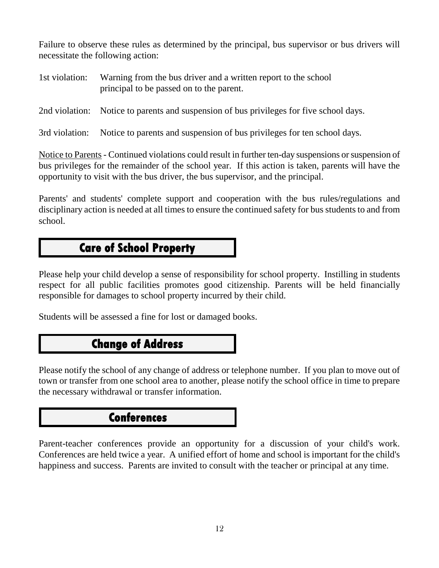Failure to observe these rules as determined by the principal, bus supervisor or bus drivers will necessitate the following action:

| 1st violation: Warning from the bus driver and a written report to the school |  |
|-------------------------------------------------------------------------------|--|
| principal to be passed on to the parent.                                      |  |

2nd violation: Notice to parents and suspension of bus privileges for five school days.

3rd violation: Notice to parents and suspension of bus privileges for ten school days.

Notice to Parents - Continued violations could result in further ten-day suspensions or suspension of bus privileges for the remainder of the school year. If this action is taken, parents will have the opportunity to visit with the bus driver, the bus supervisor, and the principal.

Parents' and students' complete support and cooperation with the bus rules/regulations and disciplinary action is needed at all times to ensure the continued safety for bus students to and from school.

# **Care of School Property**

Please help your child develop a sense of responsibility for school property. Instilling in students respect for all public facilities promotes good citizenship. Parents will be held financially responsible for damages to school property incurred by their child.

Students will be assessed a fine for lost or damaged books.

## **Change of Address**

Please notify the school of any change of address or telephone number. If you plan to move out of town or transfer from one school area to another, please notify the school office in time to prepare the necessary withdrawal or transfer information.

### **Conferences**

Parent-teacher conferences provide an opportunity for a discussion of your child's work. Conferences are held twice a year. A unified effort of home and school is important for the child's happiness and success. Parents are invited to consult with the teacher or principal at any time.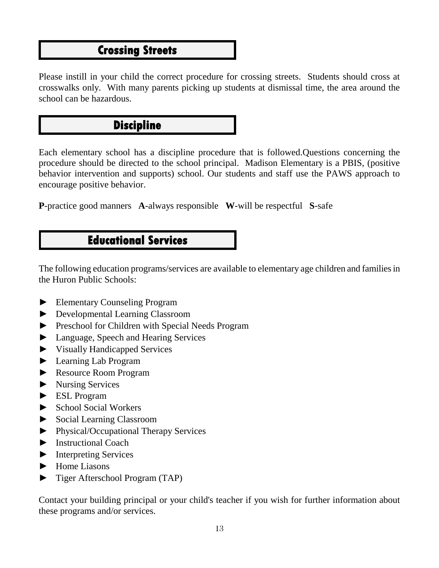## **Crossing Streets**

Please instill in your child the correct procedure for crossing streets. Students should cross at crosswalks only. With many parents picking up students at dismissal time, the area around the school can be hazardous.

## **Discipline**

Each elementary school has a discipline procedure that is followed.Questions concerning the procedure should be directed to the school principal. Madison Elementary is a PBIS, (positive behavior intervention and supports) school. Our students and staff use the PAWS approach to encourage positive behavior.

**P**-practice good manners **A**-always responsible **W**-will be respectful **S**-safe

## **Educational Services**

The following education programs/services are available to elementary age children and families in the Huron Public Schools:

- ► Elementary Counseling Program
- ► Developmental Learning Classroom
- ► Preschool for Children with Special Needs Program
- ► Language, Speech and Hearing Services
- ► Visually Handicapped Services
- ► Learning Lab Program
- ► Resource Room Program
- ► Nursing Services
- ► ESL Program
- ► School Social Workers
- ► Social Learning Classroom
- ► Physical/Occupational Therapy Services
- ► Instructional Coach
- ► Interpreting Services
- ► Home Liasons
- ► Tiger Afterschool Program (TAP)

Contact your building principal or your child's teacher if you wish for further information about these programs and/or services.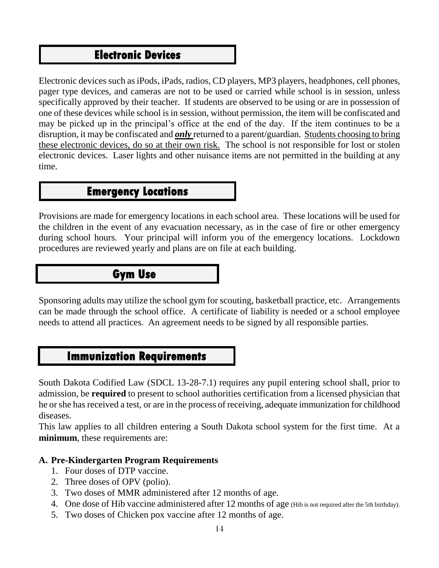## **Electronic Devices**

Electronic devices such as iPods, iPads, radios, CD players, MP3 players, headphones, cell phones, pager type devices, and cameras are not to be used or carried while school is in session, unless specifically approved by their teacher. If students are observed to be using or are in possession of one of these devices while school is in session, without permission, the item will be confiscated and may be picked up in the principal's office at the end of the day. If the item continues to be a disruption, it may be confiscated and *only* returned to a parent/guardian. Students choosing to bring these electronic devices, do so at their own risk. The school is not responsible for lost or stolen electronic devices. Laser lights and other nuisance items are not permitted in the building at any time.

## **Emergency Locations**

Provisions are made for emergency locations in each school area. These locations will be used for the children in the event of any evacuation necessary, as in the case of fire or other emergency during school hours. Your principal will inform you of the emergency locations. Lockdown procedures are reviewed yearly and plans are on file at each building.

## **Gym Use**

Sponsoring adults may utilize the school gym for scouting, basketball practice, etc. Arrangements can be made through the school office. A certificate of liability is needed or a school employee needs to attend all practices. An agreement needs to be signed by all responsible parties.

## **Immunization Requirements**

South Dakota Codified Law (SDCL 13-28-7.1) requires any pupil entering school shall, prior to admission, be **required** to present to school authorities certification from a licensed physician that he or she has received a test, or are in the process of receiving, adequate immunization for childhood diseases.

This law applies to all children entering a South Dakota school system for the first time. At a **minimum**, these requirements are:

### **A. Pre-Kindergarten Program Requirements**

- 1. Four doses of DTP vaccine.
- 2. Three doses of OPV (polio).
- 3. Two doses of MMR administered after 12 months of age.
- 4. One dose of Hib vaccine administered after 12 months of age (Hib is not required after the 5th birthday).
- 5. Two doses of Chicken pox vaccine after 12 months of age.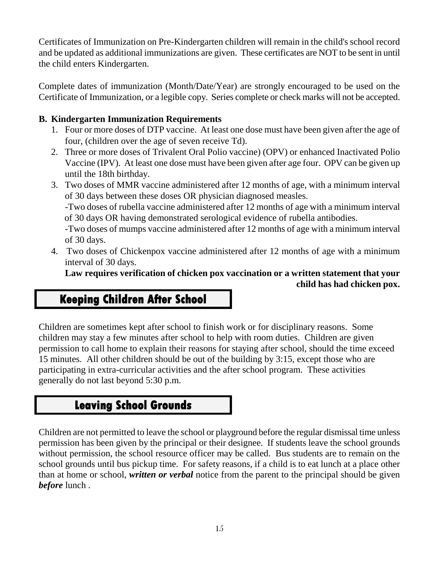Certificates of Immunization on Pre-Kindergarten children will remain in the child's school record and be updated as additional immunizations are given. These certificates are NOT to be sent in until the child enters Kindergarten.

Complete dates of immunization (Month/Date/Year) are strongly encouraged to be used on the Certificate of Immunization, or a legible copy. Series complete or check marks will not be accepted.

### **B. Kindergarten Immunization Requirements**

- 1. Four or more doses of DTP vaccine. At least one dose must have been given after the age of four, (children over the age of seven receive Td).
- 2. Three or more doses of Trivalent Oral Polio vaccine) (OPV) or enhanced Inactivated Polio Vaccine (IPV). At least one dose must have been given after age four. OPV can be given up until the 18th birthday.
- 3. Two doses of MMR vaccine administered after 12 months of age, with a minimum interval of 30 days between these doses OR physician diagnosed measles. -Two doses of rubella vaccine administered after 12 months of age with a minimum interval of 30 days OR having demonstrated serological evidence of rubella antibodies. -Two doses of mumps vaccine administered after 12 months of age with a minimum interval of 30 days.
- 4. Two doses of Chickenpox vaccine administered after 12 months of age with a minimum interval of 30 days.

**Law requires verification of chicken pox vaccination or a written statement that your** 

 **child has had chicken pox.**

## **Keeping Children After School**

Children are sometimes kept after school to finish work or for disciplinary reasons. Some children may stay a few minutes after school to help with room duties. Children are given permission to call home to explain their reasons for staying after school, should the time exceed 15 minutes. All other children should be out of the building by 3:15, except those who are participating in extra-curricular activities and the after school program. These activities generally do not last beyond 5:30 p.m.

## **Leaving School Grounds**

Children are not permitted to leave the school or playground before the regular dismissal time unless permission has been given by the principal or their designee. If students leave the school grounds without permission, the school resource officer may be called. Bus students are to remain on the school grounds until bus pickup time. For safety reasons, if a child is to eat lunch at a place other than at home or school, *written or verbal* notice from the parent to the principal should be given *before* lunch .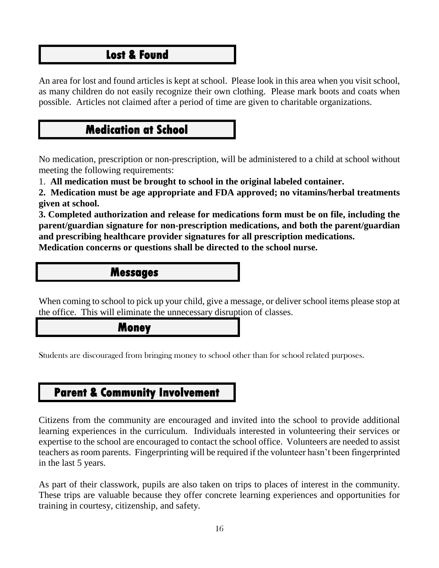## **Lost & Found**

An area for lost and found articles is kept at school. Please look in this area when you visit school, as many children do not easily recognize their own clothing. Please mark boots and coats when possible. Articles not claimed after a period of time are given to charitable organizations.

## **Medication at School**

No medication, prescription or non-prescription, will be administered to a child at school without meeting the following requirements:

1. **All medication must be brought to school in the original labeled container.** 

**2. Medication must be age appropriate and FDA approved; no vitamins/herbal treatments given at school.**

**3. Completed authorization and release for medications form must be on file, including the parent/guardian signature for non-prescription medications, and both the parent/guardian and prescribing healthcare provider signatures for all prescription medications. Medication concerns or questions shall be directed to the school nurse.**

### **Messages**

When coming to school to pick up your child, give a message, or deliver school items please stop at the office. This will eliminate the unnecessary disruption of classes.

### **Money**

Students are discouraged from bringing money to school other than for school related purposes.

## **Parent & Community Involvement**

Citizens from the community are encouraged and invited into the school to provide additional learning experiences in the curriculum. Individuals interested in volunteering their services or expertise to the school are encouraged to contact the school office. Volunteers are needed to assist teachers as room parents. Fingerprinting will be required if the volunteer hasn't been fingerprinted in the last 5 years.

As part of their classwork, pupils are also taken on trips to places of interest in the community. These trips are valuable because they offer concrete learning experiences and opportunities for training in courtesy, citizenship, and safety.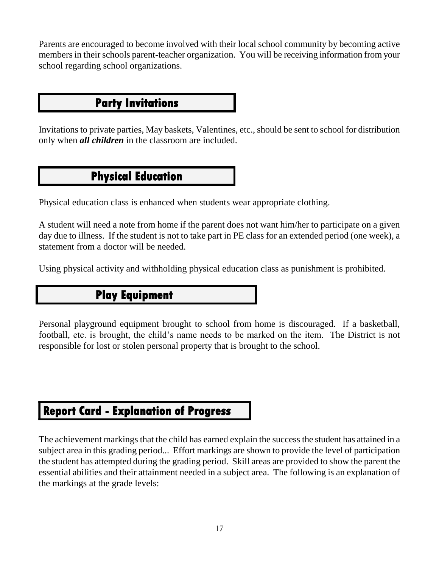Parents are encouraged to become involved with their local school community by becoming active members in their schools parent-teacher organization. You will be receiving information from your school regarding school organizations.

## **Party Invitations**

Invitations to private parties, May baskets, Valentines, etc., should be sent to school for distribution only when *all children* in the classroom are included.

## **Physical Education**

Physical education class is enhanced when students wear appropriate clothing.

A student will need a note from home if the parent does not want him/her to participate on a given day due to illness. If the student is not to take part in PE class for an extended period (one week), a statement from a doctor will be needed.

Using physical activity and withholding physical education class as punishment is prohibited.

## **Play Equipment**

Personal playground equipment brought to school from home is discouraged. If a basketball, football, etc. is brought, the child's name needs to be marked on the item. The District is not responsible for lost or stolen personal property that is brought to the school.

## **Report Card - Explanation of Progress**

The achievement markings that the child has earned explain the success the student has attained in a subject area in this grading period... Effort markings are shown to provide the level of participation the student has attempted during the grading period. Skill areas are provided to show the parent the essential abilities and their attainment needed in a subject area. The following is an explanation of the markings at the grade levels: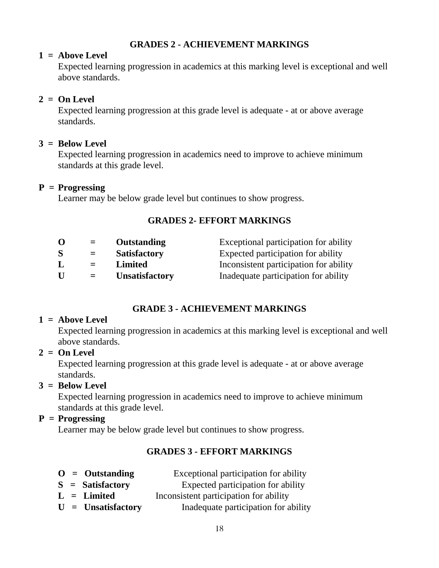### **GRADES 2 - ACHIEVEMENT MARKINGS**

#### **1 = Above Level**

Expected learning progression in academics at this marking level is exceptional and well above standards.

### **2 = On Level**

Expected learning progression at this grade level is adequate - at or above average standards.

#### **3 = Below Level**

Expected learning progression in academics need to improve to achieve minimum standards at this grade level.

#### **P = Progressing**

Learner may be below grade level but continues to show progress.

### **GRADES 2- EFFORT MARKINGS**

| O | $=$ | Outstanding           | Exceptional participation for ability  |
|---|-----|-----------------------|----------------------------------------|
| S | $=$ | <b>Satisfactory</b>   | Expected participation for ability     |
| L | $=$ | Limited               | Inconsistent participation for ability |
| U | $=$ | <b>Unsatisfactory</b> | Inadequate participation for ability   |

### **GRADE 3 - ACHIEVEMENT MARKINGS**

#### **1 = Above Level**

Expected learning progression in academics at this marking level is exceptional and well above standards.

#### **2 = On Level**

Expected learning progression at this grade level is adequate - at or above average standards.

#### **3 = Below Level**

Expected learning progression in academics need to improve to achieve minimum standards at this grade level.

#### **P = Progressing**

Learner may be below grade level but continues to show progress.

### **GRADES 3 - EFFORT MARKINGS**

- **O = Outstanding** Exceptional participation for ability
- **S** = **Satisfactory** Expected participation for ability
- **L = Limited** Inconsistent participation for ability
- **U = Unsatisfactory** Inadequate participation for ability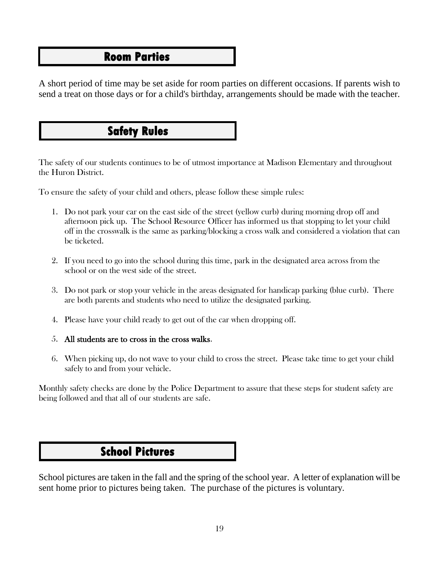### **Room Parties**

A short period of time may be set aside for room parties on different occasions. If parents wish to send a treat on those days or for a child's birthday, arrangements should be made with the teacher.

# **Safety Rules**

The safety of our students continues to be of utmost importance at Madison Elementary and throughout the Huron District.

To ensure the safety of your child and others, please follow these simple rules:

- 1. Do not park your car on the east side of the street (yellow curb) during morning drop off and afternoon pick up. The School Resource Officer has informed us that stopping to let your child off in the crosswalk is the same as parking/blocking a cross walk and considered a violation that can be ticketed.
- 2. If you need to go into the school during this time, park in the designated area across from the school or on the west side of the street.
- 3. Do not park or stop your vehicle in the areas designated for handicap parking (blue curb). There are both parents and students who need to utilize the designated parking.
- 4. Please have your child ready to get out of the car when dropping off.

#### 5. All students are to cross in the cross walks.

6. When picking up, do not wave to your child to cross the street. Please take time to get your child safely to and from your vehicle.

Monthly safety checks are done by the Police Department to assure that these steps for student safety are being followed and that all of our students are safe.

## **School Pictures**

School pictures are taken in the fall and the spring of the school year. A letter of explanation will be sent home prior to pictures being taken. The purchase of the pictures is voluntary.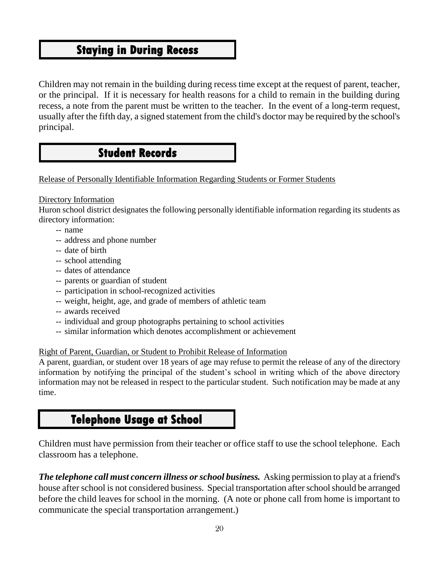## **Staying in During Recess**

Children may not remain in the building during recess time except at the request of parent, teacher, or the principal. If it is necessary for health reasons for a child to remain in the building during recess, a note from the parent must be written to the teacher. In the event of a long-term request, usually after the fifth day, a signed statement from the child's doctor may be required by the school's principal.

## **Student Records**

Release of Personally Identifiable Information Regarding Students or Former Students

#### Directory Information

Huron school district designates the following personally identifiable information regarding its students as directory information:

- -- name
- -- address and phone number
- -- date of birth
- -- school attending
- -- dates of attendance
- -- parents or guardian of student
- -- participation in school-recognized activities
- -- weight, height, age, and grade of members of athletic team
- -- awards received
- -- individual and group photographs pertaining to school activities
- -- similar information which denotes accomplishment or achievement

#### Right of Parent, Guardian, or Student to Prohibit Release of Information

A parent, guardian, or student over 18 years of age may refuse to permit the release of any of the directory information by notifying the principal of the student's school in writing which of the above directory information may not be released in respect to the particular student. Such notification may be made at any time.

### **Telephone Usage at School**

Children must have permission from their teacher or office staff to use the school telephone. Each classroom has a telephone.

*The telephone call must concern illness or school business.* Asking permission to play at a friend's house after school is not considered business. Special transportation after school should be arranged before the child leaves for school in the morning. (A note or phone call from home is important to communicate the special transportation arrangement.)